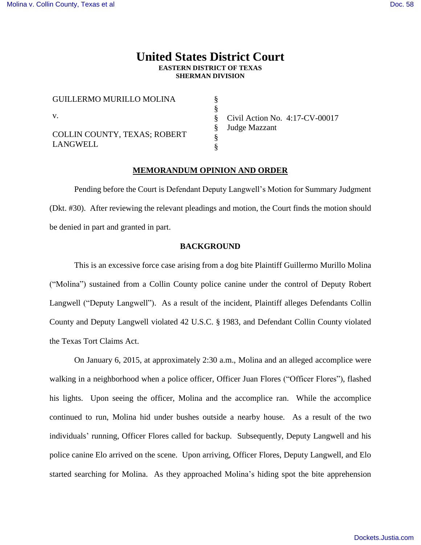# **United States District Court EASTERN DISTRICT OF TEXAS SHERMAN DIVISION**

§ § § § § §

| GUILLERMO MURILLO MOLINA                        |  |
|-------------------------------------------------|--|
| V.                                              |  |
| <b>COLLIN COUNTY, TEXAS; ROBERT</b><br>LANGWELL |  |

Civil Action No. 4:17-CV-00017 Judge Mazzant

## **MEMORANDUM OPINION AND ORDER**

Pending before the Court is Defendant Deputy Langwell's Motion for Summary Judgment (Dkt. #30). After reviewing the relevant pleadings and motion, the Court finds the motion should be denied in part and granted in part.

## **BACKGROUND**

This is an excessive force case arising from a dog bite Plaintiff Guillermo Murillo Molina ("Molina") sustained from a Collin County police canine under the control of Deputy Robert Langwell ("Deputy Langwell"). As a result of the incident, Plaintiff alleges Defendants Collin County and Deputy Langwell violated 42 U.S.C. § 1983, and Defendant Collin County violated the Texas Tort Claims Act.

On January 6, 2015, at approximately 2:30 a.m., Molina and an alleged accomplice were walking in a neighborhood when a police officer, Officer Juan Flores ("Officer Flores"), flashed his lights. Upon seeing the officer, Molina and the accomplice ran. While the accomplice continued to run, Molina hid under bushes outside a nearby house. As a result of the two individuals' running, Officer Flores called for backup. Subsequently, Deputy Langwell and his police canine Elo arrived on the scene. Upon arriving, Officer Flores, Deputy Langwell, and Elo started searching for Molina. As they approached Molina's hiding spot the bite apprehension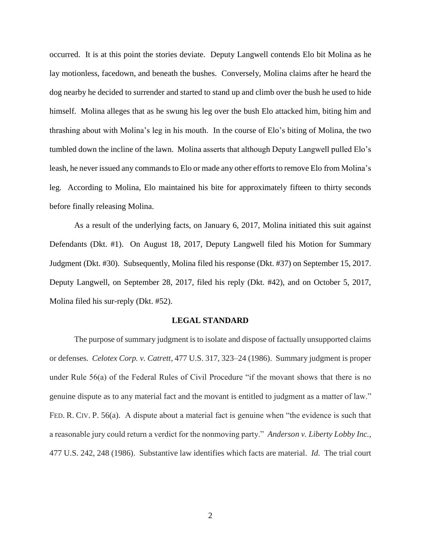occurred. It is at this point the stories deviate. Deputy Langwell contends Elo bit Molina as he lay motionless, facedown, and beneath the bushes. Conversely, Molina claims after he heard the dog nearby he decided to surrender and started to stand up and climb over the bush he used to hide himself. Molina alleges that as he swung his leg over the bush Elo attacked him, biting him and thrashing about with Molina's leg in his mouth. In the course of Elo's biting of Molina, the two tumbled down the incline of the lawn. Molina asserts that although Deputy Langwell pulled Elo's leash, he never issued any commands to Elo or made any other efforts to remove Elo from Molina's leg. According to Molina, Elo maintained his bite for approximately fifteen to thirty seconds before finally releasing Molina.

As a result of the underlying facts, on January 6, 2017, Molina initiated this suit against Defendants (Dkt. #1). On August 18, 2017, Deputy Langwell filed his Motion for Summary Judgment (Dkt. #30). Subsequently, Molina filed his response (Dkt. #37) on September 15, 2017. Deputy Langwell, on September 28, 2017, filed his reply (Dkt. #42), and on October 5, 2017, Molina filed his sur-reply (Dkt. #52).

#### **LEGAL STANDARD**

The purpose of summary judgment is to isolate and dispose of factually unsupported claims or defenses. *Celotex Corp. v. Catrett*, 477 U.S. 317, 323–24 (1986). Summary judgment is proper under Rule 56(a) of the Federal Rules of Civil Procedure "if the movant shows that there is no genuine dispute as to any material fact and the movant is entitled to judgment as a matter of law." FED. R. CIV. P. 56(a). A dispute about a material fact is genuine when "the evidence is such that a reasonable jury could return a verdict for the nonmoving party." *Anderson v. Liberty Lobby Inc.*, 477 U.S. 242, 248 (1986). Substantive law identifies which facts are material. *Id.* The trial court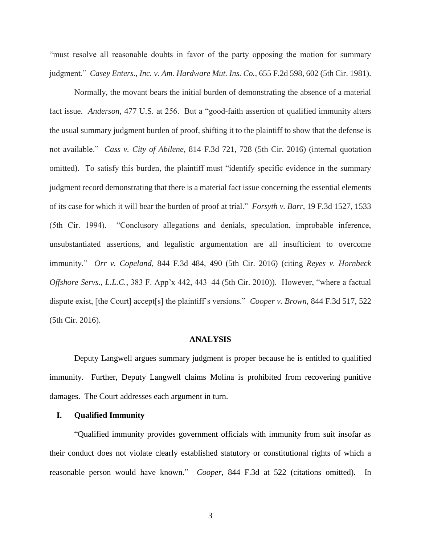"must resolve all reasonable doubts in favor of the party opposing the motion for summary judgment." *Casey Enters., Inc. v. Am. Hardware Mut. Ins. Co.*, 655 F.2d 598, 602 (5th Cir. 1981).

Normally, the movant bears the initial burden of demonstrating the absence of a material fact issue. *Anderson*, 477 U.S. at 256. But a "good-faith assertion of qualified immunity alters the usual summary judgment burden of proof, shifting it to the plaintiff to show that the defense is not available." *Cass v. City of Abilene*, 814 F.3d 721, 728 (5th Cir. 2016) (internal quotation omitted). To satisfy this burden, the plaintiff must "identify specific evidence in the summary judgment record demonstrating that there is a material fact issue concerning the essential elements of its case for which it will bear the burden of proof at trial." *Forsyth v. Barr*, 19 F.3d 1527, 1533 (5th Cir. 1994). "Conclusory allegations and denials, speculation, improbable inference, unsubstantiated assertions, and legalistic argumentation are all insufficient to overcome immunity." *Orr v. Copeland*, 844 F.3d 484, 490 (5th Cir. 2016) (citing *Reyes v. Hornbeck Offshore Servs., L.L.C.*, 383 F. App'x 442, 443–44 (5th Cir. 2010)). However, "where a factual dispute exist, [the Court] accept[s] the plaintiff's versions." *Cooper v. Brown*, 844 F.3d 517, 522 (5th Cir. 2016).

#### **ANALYSIS**

Deputy Langwell argues summary judgment is proper because he is entitled to qualified immunity. Further, Deputy Langwell claims Molina is prohibited from recovering punitive damages. The Court addresses each argument in turn.

## **I. Qualified Immunity**

"Qualified immunity provides government officials with immunity from suit insofar as their conduct does not violate clearly established statutory or constitutional rights of which a reasonable person would have known." *Cooper*, 844 F.3d at 522 (citations omitted). In

3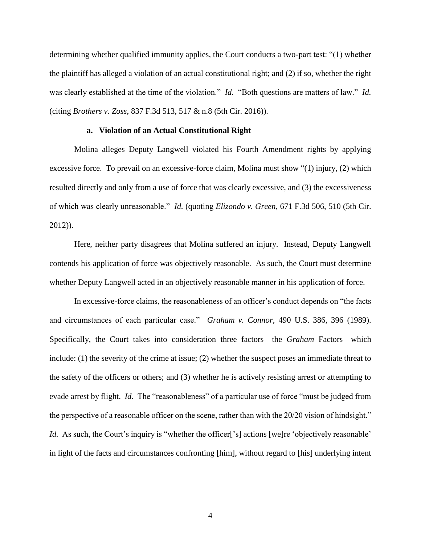determining whether qualified immunity applies, the Court conducts a two-part test: "(1) whether the plaintiff has alleged a violation of an actual constitutional right; and (2) if so, whether the right was clearly established at the time of the violation." *Id.* "Both questions are matters of law." *Id.*  (citing *Brothers v. Zoss*, 837 F.3d 513, 517 & n.8 (5th Cir. 2016)).

#### **a. Violation of an Actual Constitutional Right**

Molina alleges Deputy Langwell violated his Fourth Amendment rights by applying excessive force. To prevail on an excessive-force claim, Molina must show "(1) injury, (2) which resulted directly and only from a use of force that was clearly excessive, and (3) the excessiveness of which was clearly unreasonable." *Id.* (quoting *Elizondo v. Green*, 671 F.3d 506, 510 (5th Cir. 2012)).

Here, neither party disagrees that Molina suffered an injury. Instead, Deputy Langwell contends his application of force was objectively reasonable. As such, the Court must determine whether Deputy Langwell acted in an objectively reasonable manner in his application of force.

In excessive-force claims, the reasonableness of an officer's conduct depends on "the facts and circumstances of each particular case." *Graham v. Connor*, 490 U.S. 386, 396 (1989). Specifically, the Court takes into consideration three factors—the *Graham* Factors—which include: (1) the severity of the crime at issue; (2) whether the suspect poses an immediate threat to the safety of the officers or others; and (3) whether he is actively resisting arrest or attempting to evade arrest by flight. *Id.* The "reasonableness" of a particular use of force "must be judged from the perspective of a reasonable officer on the scene, rather than with the 20/20 vision of hindsight." *Id.* As such, the Court's inquiry is "whether the officer<sup>['s]</sup> actions [we]re 'objectively reasonable' in light of the facts and circumstances confronting [him], without regard to [his] underlying intent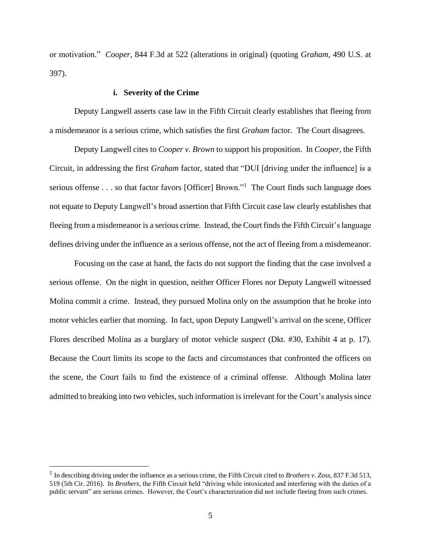or motivation." *Cooper*, 844 F.3d at 522 (alterations in original) (quoting *Graham*, 490 U.S. at 397).

#### **i. Severity of the Crime**

Deputy Langwell asserts case law in the Fifth Circuit clearly establishes that fleeing from a misdemeanor is a serious crime, which satisfies the first *Graham* factor. The Court disagrees.

Deputy Langwell cites to *Cooper v. Brown* to support his proposition. In *Cooper*, the Fifth Circuit, in addressing the first *Graham* factor, stated that "DUI [driving under the influence] is a serious offense . . . so that factor favors [Officer] Brown."<sup>1</sup> The Court finds such language does not equate to Deputy Langwell's broad assertion that Fifth Circuit case law clearly establishes that fleeing from a misdemeanor is a serious crime. Instead, the Court finds the Fifth Circuit's language defines driving under the influence as a serious offense, not the act of fleeing from a misdemeanor.

Focusing on the case at hand, the facts do not support the finding that the case involved a serious offense. On the night in question, neither Officer Flores nor Deputy Langwell witnessed Molina commit a crime. Instead, they pursued Molina only on the assumption that he broke into motor vehicles earlier that morning. In fact, upon Deputy Langwell's arrival on the scene, Officer Flores described Molina as a burglary of motor vehicle *suspect* (Dkt. #30, Exhibit 4 at p. 17). Because the Court limits its scope to the facts and circumstances that confronted the officers on the scene, the Court fails to find the existence of a criminal offense. Although Molina later admitted to breaking into two vehicles, such information is irrelevant for the Court's analysis since

<sup>1</sup> In describing driving under the influence as a serious crime, the Fifth Circuit cited to *Brothers v. Zoss*, 837 F.3d 513, 519 (5th Cir. 2016). In *Brothers*, the Fifth Circuit held "driving while intoxicated and interfering with the duties of a public servant" are serious crimes. However, the Court's characterization did not include fleeing from such crimes.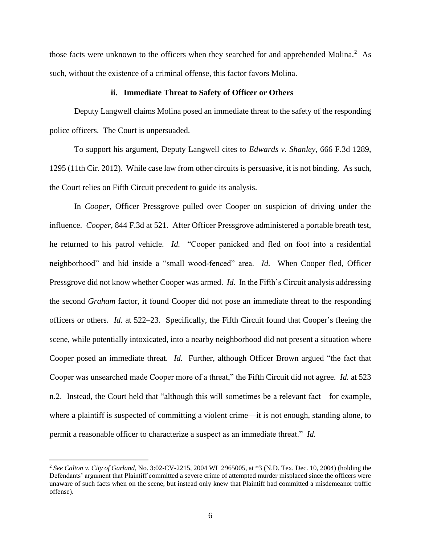those facts were unknown to the officers when they searched for and apprehended Molina.<sup>2</sup> As such, without the existence of a criminal offense, this factor favors Molina.

#### **ii. Immediate Threat to Safety of Officer or Others**

Deputy Langwell claims Molina posed an immediate threat to the safety of the responding police officers. The Court is unpersuaded.

To support his argument, Deputy Langwell cites to *Edwards v. Shanley*, 666 F.3d 1289, 1295 (11th Cir. 2012). While case law from other circuits is persuasive, it is not binding. As such, the Court relies on Fifth Circuit precedent to guide its analysis.

In *Cooper*, Officer Pressgrove pulled over Cooper on suspicion of driving under the influence. *Cooper*, 844 F.3d at 521. After Officer Pressgrove administered a portable breath test, he returned to his patrol vehicle. *Id.* "Cooper panicked and fled on foot into a residential neighborhood" and hid inside a "small wood-fenced" area. *Id.* When Cooper fled, Officer Pressgrove did not know whether Cooper was armed. *Id.* In the Fifth's Circuit analysis addressing the second *Graham* factor, it found Cooper did not pose an immediate threat to the responding officers or others. *Id.* at 522–23. Specifically, the Fifth Circuit found that Cooper's fleeing the scene, while potentially intoxicated, into a nearby neighborhood did not present a situation where Cooper posed an immediate threat. *Id.* Further, although Officer Brown argued "the fact that Cooper was unsearched made Cooper more of a threat," the Fifth Circuit did not agree. *Id.* at 523 n.2. Instead, the Court held that "although this will sometimes be a relevant fact—for example, where a plaintiff is suspected of committing a violent crime—it is not enough, standing alone, to permit a reasonable officer to characterize a suspect as an immediate threat." *Id.*

<sup>2</sup> *See Calton v. City of Garland*, No. 3:02-CV-2215, 2004 WL 2965005, at \*3 (N.D. Tex. Dec. 10, 2004) (holding the Defendants' argument that Plaintiff committed a severe crime of attempted murder misplaced since the officers were unaware of such facts when on the scene, but instead only knew that Plaintiff had committed a misdemeanor traffic offense).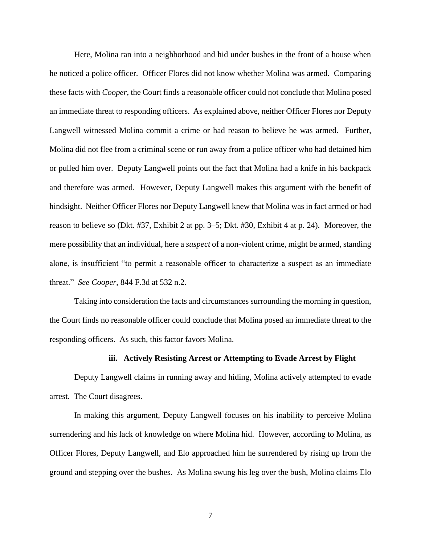Here, Molina ran into a neighborhood and hid under bushes in the front of a house when he noticed a police officer. Officer Flores did not know whether Molina was armed. Comparing these facts with *Cooper*, the Court finds a reasonable officer could not conclude that Molina posed an immediate threat to responding officers. As explained above, neither Officer Flores nor Deputy Langwell witnessed Molina commit a crime or had reason to believe he was armed. Further, Molina did not flee from a criminal scene or run away from a police officer who had detained him or pulled him over. Deputy Langwell points out the fact that Molina had a knife in his backpack and therefore was armed. However, Deputy Langwell makes this argument with the benefit of hindsight. Neither Officer Flores nor Deputy Langwell knew that Molina was in fact armed or had reason to believe so (Dkt. #37, Exhibit 2 at pp. 3–5; Dkt. #30, Exhibit 4 at p. 24). Moreover, the mere possibility that an individual, here a *suspect* of a non-violent crime, might be armed, standing alone, is insufficient "to permit a reasonable officer to characterize a suspect as an immediate threat." *See Cooper*, 844 F.3d at 532 n.2.

Taking into consideration the facts and circumstances surrounding the morning in question, the Court finds no reasonable officer could conclude that Molina posed an immediate threat to the responding officers. As such, this factor favors Molina.

## **iii. Actively Resisting Arrest or Attempting to Evade Arrest by Flight**

Deputy Langwell claims in running away and hiding, Molina actively attempted to evade arrest. The Court disagrees.

In making this argument, Deputy Langwell focuses on his inability to perceive Molina surrendering and his lack of knowledge on where Molina hid. However, according to Molina, as Officer Flores, Deputy Langwell, and Elo approached him he surrendered by rising up from the ground and stepping over the bushes. As Molina swung his leg over the bush, Molina claims Elo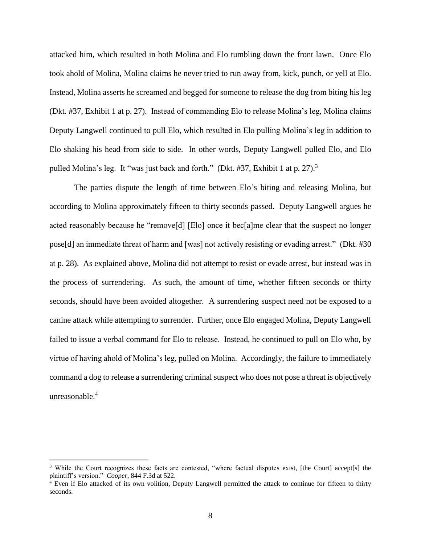attacked him, which resulted in both Molina and Elo tumbling down the front lawn. Once Elo took ahold of Molina, Molina claims he never tried to run away from, kick, punch, or yell at Elo. Instead, Molina asserts he screamed and begged for someone to release the dog from biting his leg (Dkt. #37, Exhibit 1 at p. 27). Instead of commanding Elo to release Molina's leg, Molina claims Deputy Langwell continued to pull Elo, which resulted in Elo pulling Molina's leg in addition to Elo shaking his head from side to side. In other words, Deputy Langwell pulled Elo, and Elo pulled Molina's leg. It "was just back and forth." (Dkt. #37, Exhibit 1 at p. 27).<sup>3</sup>

The parties dispute the length of time between Elo's biting and releasing Molina, but according to Molina approximately fifteen to thirty seconds passed. Deputy Langwell argues he acted reasonably because he "remove[d] [Elo] once it bec[a]me clear that the suspect no longer pose[d] an immediate threat of harm and [was] not actively resisting or evading arrest." (Dkt. #30 at p. 28). As explained above, Molina did not attempt to resist or evade arrest, but instead was in the process of surrendering. As such, the amount of time, whether fifteen seconds or thirty seconds, should have been avoided altogether. A surrendering suspect need not be exposed to a canine attack while attempting to surrender. Further, once Elo engaged Molina, Deputy Langwell failed to issue a verbal command for Elo to release. Instead, he continued to pull on Elo who, by virtue of having ahold of Molina's leg, pulled on Molina. Accordingly, the failure to immediately command a dog to release a surrendering criminal suspect who does not pose a threat is objectively unreasonable.<sup>4</sup>

<sup>&</sup>lt;sup>3</sup> While the Court recognizes these facts are contested, "where factual disputes exist, [the Court] accept[s] the plaintiff's version." *Cooper*, 844 F.3d at 522.

<sup>4</sup> Even if Elo attacked of its own volition, Deputy Langwell permitted the attack to continue for fifteen to thirty seconds.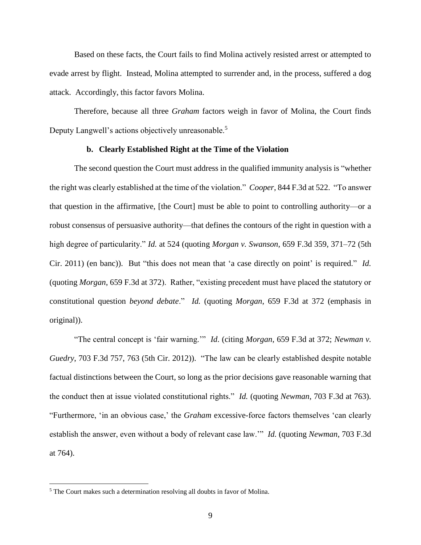Based on these facts, the Court fails to find Molina actively resisted arrest or attempted to evade arrest by flight. Instead, Molina attempted to surrender and, in the process, suffered a dog attack. Accordingly, this factor favors Molina.

Therefore, because all three *Graham* factors weigh in favor of Molina, the Court finds Deputy Langwell's actions objectively unreasonable.<sup>5</sup>

#### **b. Clearly Established Right at the Time of the Violation**

The second question the Court must address in the qualified immunity analysis is "whether the right was clearly established at the time of the violation." *Cooper*, 844 F.3d at 522. "To answer that question in the affirmative, [the Court] must be able to point to controlling authority—or a robust consensus of persuasive authority—that defines the contours of the right in question with a high degree of particularity." *Id.* at 524 (quoting *Morgan v. Swanson*, 659 F.3d 359, 371–72 (5th Cir. 2011) (en banc)). But "this does not mean that 'a case directly on point' is required." *Id.* (quoting *Morgan*, 659 F.3d at 372). Rather, "existing precedent must have placed the statutory or constitutional question *beyond debate*." *Id.* (quoting *Morgan*, 659 F.3d at 372 (emphasis in original)).

"The central concept is 'fair warning.'" *Id*. (citing *Morgan*, 659 F.3d at 372; *Newman v. Guedry*, 703 F.3d 757, 763 (5th Cir. 2012)). "The law can be clearly established despite notable factual distinctions between the Court, so long as the prior decisions gave reasonable warning that the conduct then at issue violated constitutional rights." *Id.* (quoting *Newman*, 703 F.3d at 763). "Furthermore, 'in an obvious case,' the *Graham* excessive-force factors themselves 'can clearly establish the answer, even without a body of relevant case law.'" *Id.* (quoting *Newman*, 703 F.3d at 764).

<sup>5</sup> The Court makes such a determination resolving all doubts in favor of Molina.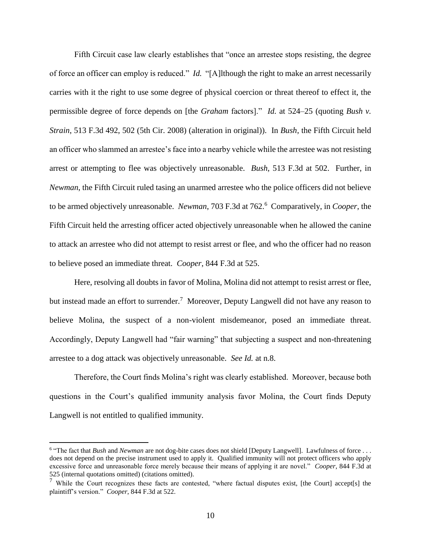Fifth Circuit case law clearly establishes that "once an arrestee stops resisting, the degree of force an officer can employ is reduced." *Id.* "[A]lthough the right to make an arrest necessarily carries with it the right to use some degree of physical coercion or threat thereof to effect it, the permissible degree of force depends on [the *Graham* factors]." *Id.* at 524–25 (quoting *Bush v. Strain*, 513 F.3d 492, 502 (5th Cir. 2008) (alteration in original)). In *Bush*, the Fifth Circuit held an officer who slammed an arrestee's face into a nearby vehicle while the arrestee was not resisting arrest or attempting to flee was objectively unreasonable. *Bush*, 513 F.3d at 502. Further, in *Newman*, the Fifth Circuit ruled tasing an unarmed arrestee who the police officers did not believe to be armed objectively unreasonable. *Newman*, 703 F.3d at 762.<sup>6</sup> Comparatively, in *Cooper*, the Fifth Circuit held the arresting officer acted objectively unreasonable when he allowed the canine to attack an arrestee who did not attempt to resist arrest or flee, and who the officer had no reason to believe posed an immediate threat. *Cooper*, 844 F.3d at 525.

Here, resolving all doubts in favor of Molina, Molina did not attempt to resist arrest or flee, but instead made an effort to surrender.<sup>7</sup> Moreover, Deputy Langwell did not have any reason to believe Molina, the suspect of a non-violent misdemeanor, posed an immediate threat. Accordingly, Deputy Langwell had "fair warning" that subjecting a suspect and non-threatening arrestee to a dog attack was objectively unreasonable. *See Id.* at n.8.

Therefore, the Court finds Molina's right was clearly established. Moreover, because both questions in the Court's qualified immunity analysis favor Molina, the Court finds Deputy Langwell is not entitled to qualified immunity.

<sup>&</sup>lt;sup>6</sup> "The fact that *Bush* and *Newman* are not dog-bite cases does not shield [Deputy Langwell]. Lawfulness of force . . . does not depend on the precise instrument used to apply it. Qualified immunity will not protect officers who apply excessive force and unreasonable force merely because their means of applying it are novel." *Cooper*, 844 F.3d at 525 (internal quotations omitted) (citations omitted).

<sup>7</sup> While the Court recognizes these facts are contested, "where factual disputes exist, [the Court] accept[s] the plaintiff's version." *Cooper*, 844 F.3d at 522.